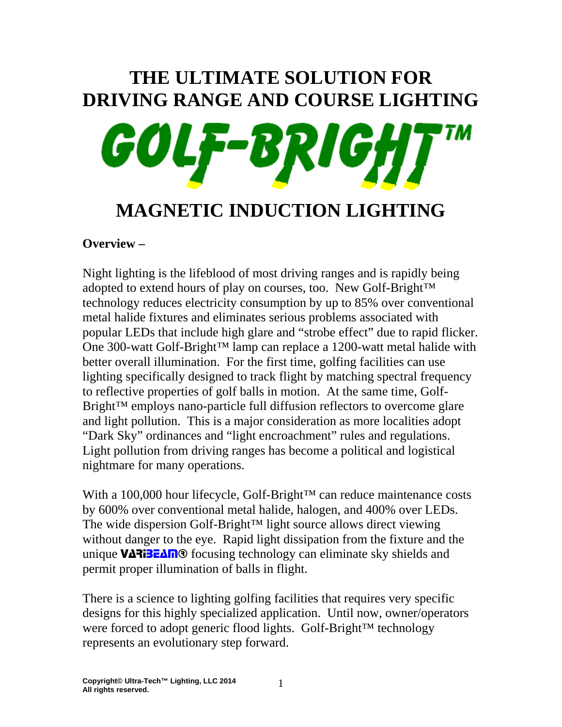# **THE ULTIMATE SOLUTION FOR DRIVING RANGE AND COURSE LIGHTING**  GOI

# **MAGNETIC INDUCTION LIGHTING**

# **Overview –**

Night lighting is the lifeblood of most driving ranges and is rapidly being adopted to extend hours of play on courses, too. New Golf-Bright™ technology reduces electricity consumption by up to 85% over conventional metal halide fixtures and eliminates serious problems associated with popular LEDs that include high glare and "strobe effect" due to rapid flicker. One 300-watt Golf-Bright™ lamp can replace a 1200-watt metal halide with better overall illumination. For the first time, golfing facilities can use lighting specifically designed to track flight by matching spectral frequency to reflective properties of golf balls in motion. At the same time, Golf-Bright<sup>™</sup> employs nano-particle full diffusion reflectors to overcome glare and light pollution. This is a major consideration as more localities adopt "Dark Sky" ordinances and "light encroachment" rules and regulations. Light pollution from driving ranges has become a political and logistical nightmare for many operations.

With a 100,000 hour lifecycle, Golf-Bright™ can reduce maintenance costs by 600% over conventional metal halide, halogen, and 400% over LEDs. The wide dispersion Golf-Bright™ light source allows direct viewing without danger to the eye. Rapid light dissipation from the fixture and the unique VARIBEAM<sup>®</sup> focusing technology can eliminate sky shields and permit proper illumination of balls in flight.

There is a science to lighting golfing facilities that requires very specific designs for this highly specialized application. Until now, owner/operators were forced to adopt generic flood lights. Golf-Bright™ technology represents an evolutionary step forward.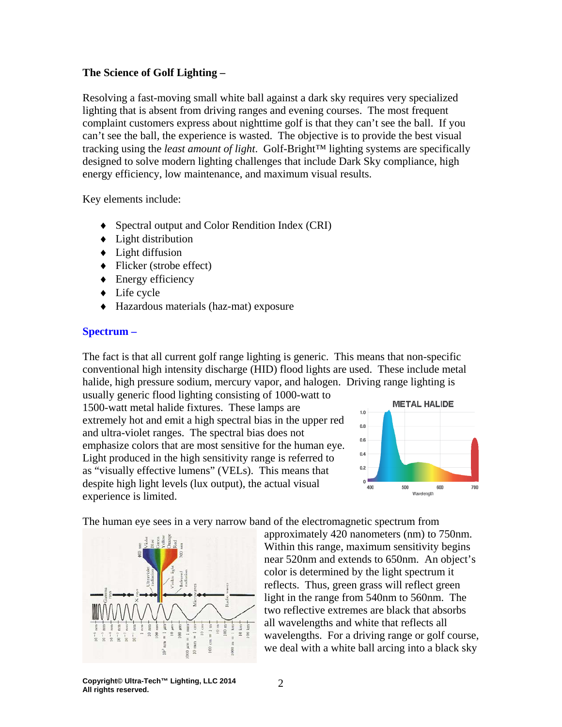#### **The Science of Golf Lighting –**

Resolving a fast-moving small white ball against a dark sky requires very specialized lighting that is absent from driving ranges and evening courses. The most frequent complaint customers express about nighttime golf is that they can't see the ball. If you can't see the ball, the experience is wasted. The objective is to provide the best visual tracking using the *least amount of light*. Golf-Bright™ lighting systems are specifically designed to solve modern lighting challenges that include Dark Sky compliance, high energy efficiency, low maintenance, and maximum visual results.

Key elements include:

- ♦ Spectral output and Color Rendition Index (CRI)
- $\triangleleft$  Light distribution
- ♦ Light diffusion
- $\blacklozenge$  Flicker (strobe effect)
- $\triangle$  Energy efficiency
- ♦ Life cycle
- ♦ Hazardous materials (haz-mat) exposure

#### **Spectrum –**

The fact is that all current golf range lighting is generic. This means that non-specific conventional high intensity discharge (HID) flood lights are used. These include metal halide, high pressure sodium, mercury vapor, and halogen. Driving range lighting is

usually generic flood lighting consisting of 1000-watt to 1500-watt metal halide fixtures. These lamps are extremely hot and emit a high spectral bias in the upper red and ultra-violet ranges. The spectral bias does not emphasize colors that are most sensitive for the human eye. Light produced in the high sensitivity range is referred to as "visually effective lumens" (VELs). This means that despite high light levels (lux output), the actual visual experience is limited.



The human eye sees in a very narrow band of the electromagnetic spectrum from



approximately 420 nanometers (nm) to 750nm. Within this range, maximum sensitivity begins near 520nm and extends to 650nm. An object's color is determined by the light spectrum it reflects. Thus, green grass will reflect green light in the range from 540nm to 560nm. The two reflective extremes are black that absorbs all wavelengths and white that reflects all wavelengths. For a driving range or golf course, we deal with a white ball arcing into a black sky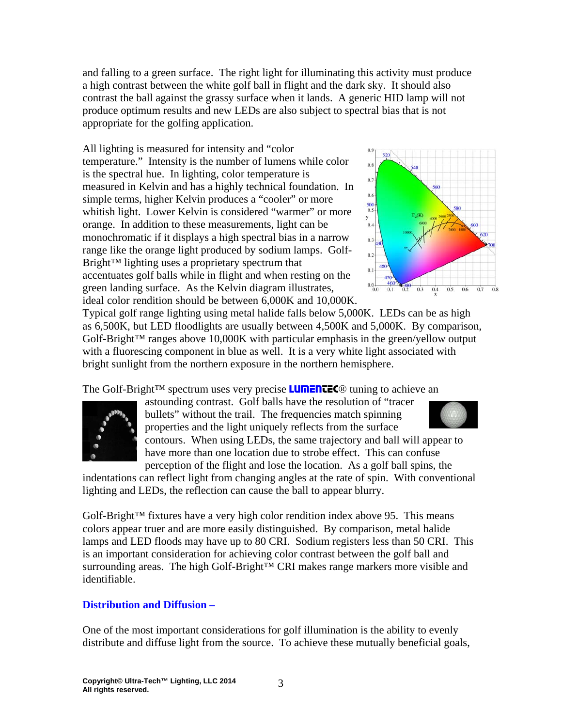and falling to a green surface. The right light for illuminating this activity must produce a high contrast between the white golf ball in flight and the dark sky. It should also contrast the ball against the grassy surface when it lands. A generic HID lamp will not produce optimum results and new LEDs are also subject to spectral bias that is not appropriate for the golfing application.

All lighting is measured for intensity and "color temperature." Intensity is the number of lumens while color is the spectral hue. In lighting, color temperature is measured in Kelvin and has a highly technical foundation. In simple terms, higher Kelvin produces a "cooler" or more whitish light. Lower Kelvin is considered "warmer" or more orange. In addition to these measurements, light can be monochromatic if it displays a high spectral bias in a narrow range like the orange light produced by sodium lamps. Golf-Bright™ lighting uses a proprietary spectrum that accentuates golf balls while in flight and when resting on the green landing surface. As the Kelvin diagram illustrates, ideal color rendition should be between 6,000K and 10,000K.



Typical golf range lighting using metal halide falls below 5,000K. LEDs can be as high as 6,500K, but LED floodlights are usually between 4,500K and 5,000K. By comparison,  $G$ olf-Bright<sup>™</sup> ranges above 10,000K with particular emphasis in the green/yellow output with a fluorescing component in blue as well. It is a very white light associated with bright sunlight from the northern exposure in the northern hemisphere.

The Golf-Bright™ spectrum uses very precise **LUMENTEC®** tuning to achieve an



astounding contrast. Golf balls have the resolution of "tracer bullets" without the trail. The frequencies match spinning properties and the light uniquely reflects from the surface contours. When using LEDs, the same trajectory and ball will appear to have more than one location due to strobe effect. This can confuse perception of the flight and lose the location. As a golf ball spins, the

indentations can reflect light from changing angles at the rate of spin. With conventional lighting and LEDs, the reflection can cause the ball to appear blurry.

Golf-Bright<sup>™</sup> fixtures have a very high color rendition index above 95. This means colors appear truer and are more easily distinguished. By comparison, metal halide lamps and LED floods may have up to 80 CRI. Sodium registers less than 50 CRI. This is an important consideration for achieving color contrast between the golf ball and surrounding areas. The high Golf-Bright™ CRI makes range markers more visible and identifiable.

### **Distribution and Diffusion –**

One of the most important considerations for golf illumination is the ability to evenly distribute and diffuse light from the source. To achieve these mutually beneficial goals,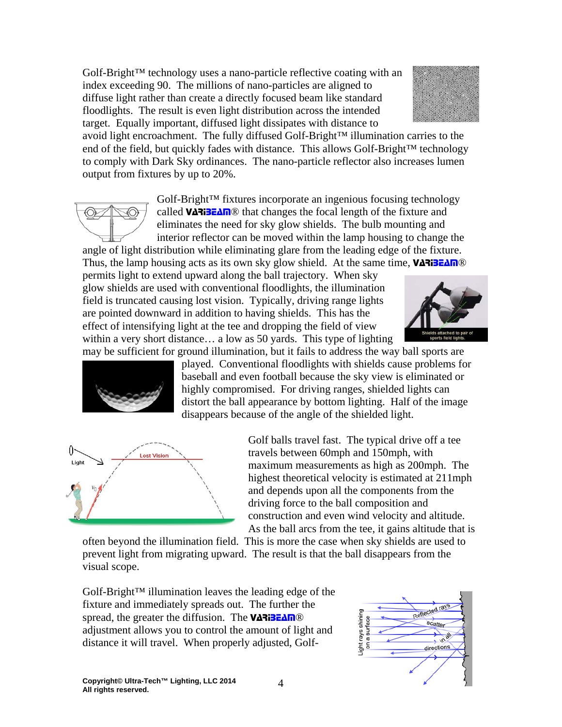**Copyright© Ultra-Tech™ Lighting, LLC 2014 All rights reserved.** 4

Golf-Bright™ technology uses a nano-particle reflective coating with an index exceeding 90. The millions of nano-particles are aligned to diffuse light rather than create a directly focused beam like standard floodlights. The result is even light distribution across the intended target. Equally important, diffused light dissipates with distance to

avoid light encroachment. The fully diffused Golf-Bright™ illumination carries to the end of the field, but quickly fades with distance. This allows Golf-Bright<sup>™</sup> technology to comply with Dark Sky ordinances. The nano-particle reflector also increases lumen output from fixtures by up to 20%.

Golf-Bright™ fixtures incorporate an ingenious focusing technology called VARIBEAM® that changes the focal length of the fixture and eliminates the need for sky glow shields. The bulb mounting and interior reflector can be moved within the lamp housing to change the angle of light distribution while eliminating glare from the leading edge of the fixture. Thus, the lamp housing acts as its own sky glow shield. At the same time, VARIBEAM<sup>®</sup>

permits light to extend upward along the ball trajectory. When sky glow shields are used with conventional floodlights, the illumination field is truncated causing lost vision. Typically, driving range lights are pointed downward in addition to having shields. This has the effect of intensifying light at the tee and dropping the field of view within a very short distance… a low as 50 yards. This type of lighting

may be sufficient for ground illumination, but it fails to address the way ball sports are played. Conventional floodlights with shields cause problems for baseball and even football because the sky view is eliminated or highly compromised. For driving ranges, shielded lights can distort the ball appearance by bottom lighting. Half of the image disappears because of the angle of the shielded light.

> Golf balls travel fast. The typical drive off a tee travels between 60mph and 150mph, with maximum measurements as high as 200mph. The highest theoretical velocity is estimated at 211mph and depends upon all the components from the driving force to the ball composition and construction and even wind velocity and altitude. As the ball arcs from the tee, it gains altitude that is

> > light rays shining

often beyond the illumination field. This is more the case when sky shields are used to prevent light from migrating upward. The result is that the ball disappears from the visual scope.

Golf-Bright™ illumination leaves the leading edge of the fixture and immediately spreads out. The further the spread, the greater the diffusion. The VARIBEAM® adjustment allows you to control the amount of light and distance it will travel. When properly adjusted, Golf-



eflected rays

scatter  $\sim$ directions



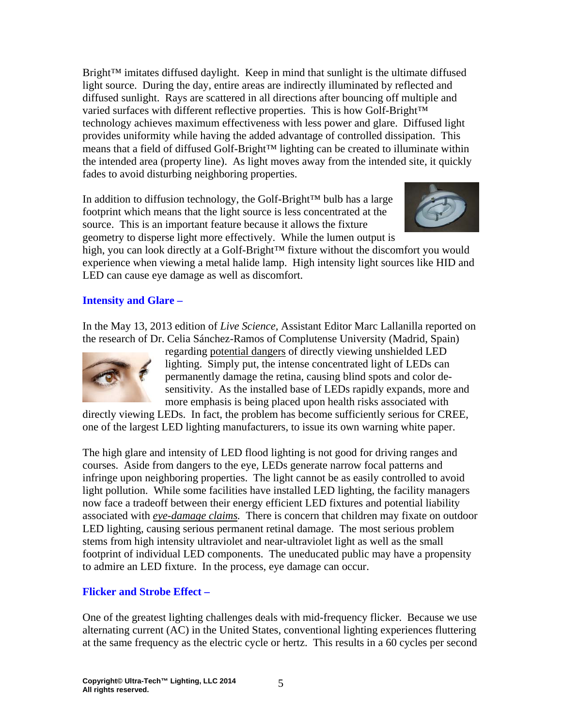Bright™ imitates diffused daylight. Keep in mind that sunlight is the ultimate diffused light source. During the day, entire areas are indirectly illuminated by reflected and diffused sunlight. Rays are scattered in all directions after bouncing off multiple and varied surfaces with different reflective properties. This is how Golf-Bright™ technology achieves maximum effectiveness with less power and glare. Diffused light provides uniformity while having the added advantage of controlled dissipation. This means that a field of diffused Golf-Bright™ lighting can be created to illuminate within the intended area (property line). As light moves away from the intended site, it quickly fades to avoid disturbing neighboring properties.

In addition to diffusion technology, the Golf-Bright™ bulb has a large footprint which means that the light source is less concentrated at the source. This is an important feature because it allows the fixture geometry to disperse light more effectively. While the lumen output is



high, you can look directly at a Golf-Bright™ fixture without the discomfort you would experience when viewing a metal halide lamp. High intensity light sources like HID and LED can cause eye damage as well as discomfort.

### **Intensity and Glare –**

In the May 13, 2013 edition of *Live Science,* Assistant Editor Marc Lallanilla reported on the research of Dr. Celia Sánchez-Ramos of Complutense University (Madrid, Spain)



regarding potential dangers of directly viewing unshielded LED lighting. Simply put, the intense concentrated light of LEDs can permanently damage the retina, causing blind spots and color desensitivity. As the installed base of LEDs rapidly expands, more and more emphasis is being placed upon health risks associated with

directly viewing LEDs. In fact, the problem has become sufficiently serious for CREE, one of the largest LED lighting manufacturers, to issue its own warning white paper.

The high glare and intensity of LED flood lighting is not good for driving ranges and courses. Aside from dangers to the eye, LEDs generate narrow focal patterns and infringe upon neighboring properties. The light cannot be as easily controlled to avoid light pollution. While some facilities have installed LED lighting, the facility managers now face a tradeoff between their energy efficient LED fixtures and potential liability associated with *eye-damage claims.* There is concern that children may fixate on outdoor LED lighting, causing serious permanent retinal damage. The most serious problem stems from high intensity ultraviolet and near-ultraviolet light as well as the small footprint of individual LED components. The uneducated public may have a propensity to admire an LED fixture. In the process, eye damage can occur.

#### **Flicker and Strobe Effect –**

One of the greatest lighting challenges deals with mid-frequency flicker. Because we use alternating current (AC) in the United States, conventional lighting experiences fluttering at the same frequency as the electric cycle or hertz. This results in a 60 cycles per second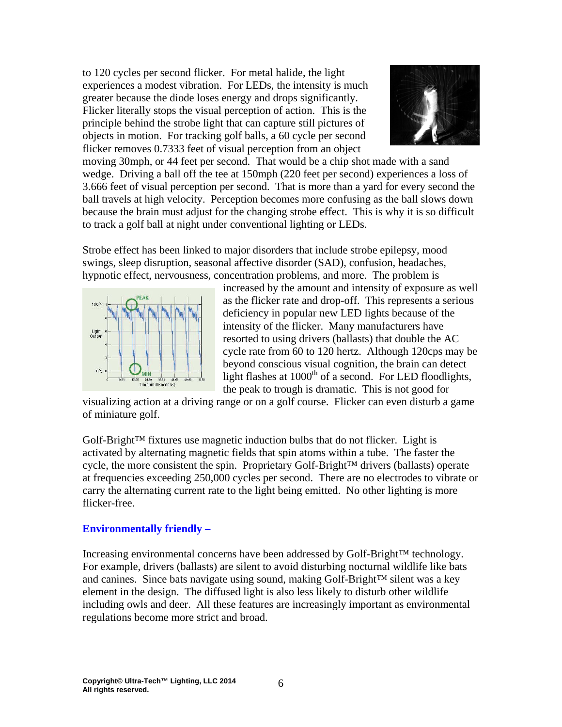to 120 cycles per second flicker. For metal halide, the light experiences a modest vibration. For LEDs, the intensity is much greater because the diode loses energy and drops significantly. Flicker literally stops the visual perception of action. This is the principle behind the strobe light that can capture still pictures of objects in motion. For tracking golf balls, a 60 cycle per second flicker removes 0.7333 feet of visual perception from an object



moving 30mph, or 44 feet per second. That would be a chip shot made with a sand wedge. Driving a ball off the tee at 150mph (220 feet per second) experiences a loss of 3.666 feet of visual perception per second. That is more than a yard for every second the ball travels at high velocity. Perception becomes more confusing as the ball slows down because the brain must adjust for the changing strobe effect. This is why it is so difficult to track a golf ball at night under conventional lighting or LEDs.

Strobe effect has been linked to major disorders that include strobe epilepsy, mood swings, sleep disruption, seasonal affective disorder (SAD), confusion, headaches, hypnotic effect, nervousness, concentration problems, and more. The problem is



increased by the amount and intensity of exposure as well as the flicker rate and drop-off. This represents a serious deficiency in popular new LED lights because of the intensity of the flicker. Many manufacturers have resorted to using drivers (ballasts) that double the AC cycle rate from 60 to 120 hertz. Although 120cps may be beyond conscious visual cognition, the brain can detect light flashes at  $1000<sup>th</sup>$  of a second. For LED floodlights, the peak to trough is dramatic. This is not good for

visualizing action at a driving range or on a golf course. Flicker can even disturb a game of miniature golf.

Golf-Bright™ fixtures use magnetic induction bulbs that do not flicker. Light is activated by alternating magnetic fields that spin atoms within a tube. The faster the cycle, the more consistent the spin. Proprietary Golf-Bright™ drivers (ballasts) operate at frequencies exceeding 250,000 cycles per second. There are no electrodes to vibrate or carry the alternating current rate to the light being emitted. No other lighting is more flicker-free.

#### **Environmentally friendly –**

Increasing environmental concerns have been addressed by Golf-Bright™ technology. For example, drivers (ballasts) are silent to avoid disturbing nocturnal wildlife like bats and canines. Since bats navigate using sound, making Golf-Bright™ silent was a key element in the design. The diffused light is also less likely to disturb other wildlife including owls and deer. All these features are increasingly important as environmental regulations become more strict and broad.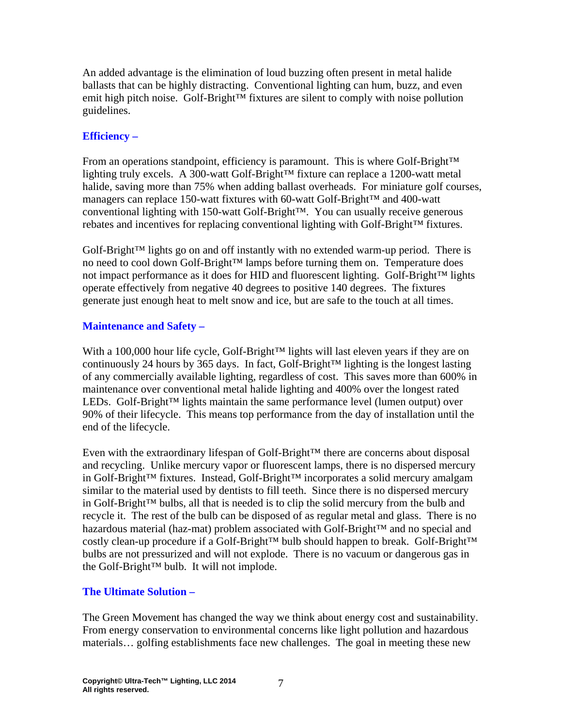An added advantage is the elimination of loud buzzing often present in metal halide ballasts that can be highly distracting. Conventional lighting can hum, buzz, and even emit high pitch noise. Golf-Bright™ fixtures are silent to comply with noise pollution guidelines.

## **Efficiency –**

From an operations standpoint, efficiency is paramount. This is where Golf-Bright™ lighting truly excels. A 300-watt Golf-Bright™ fixture can replace a 1200-watt metal halide, saving more than 75% when adding ballast overheads. For miniature golf courses, managers can replace 150-watt fixtures with 60-watt Golf-Bright™ and 400-watt conventional lighting with 150-watt Golf-Bright™. You can usually receive generous rebates and incentives for replacing conventional lighting with Golf-Bright™ fixtures.

 $G$ olf-Bright<sup>™</sup> lights go on and off instantly with no extended warm-up period. There is no need to cool down Golf-Bright™ lamps before turning them on. Temperature does not impact performance as it does for HID and fluorescent lighting. Golf-Bright™ lights operate effectively from negative 40 degrees to positive 140 degrees. The fixtures generate just enough heat to melt snow and ice, but are safe to the touch at all times.

# **Maintenance and Safety –**

With a 100,000 hour life cycle, Golf-Bright™ lights will last eleven years if they are on continuously 24 hours by 365 days. In fact, Golf-Bright™ lighting is the longest lasting of any commercially available lighting, regardless of cost. This saves more than 600% in maintenance over conventional metal halide lighting and 400% over the longest rated LEDs. Golf-Bright™ lights maintain the same performance level (lumen output) over 90% of their lifecycle. This means top performance from the day of installation until the end of the lifecycle.

Even with the extraordinary lifespan of Golf-Bright™ there are concerns about disposal and recycling. Unlike mercury vapor or fluorescent lamps, there is no dispersed mercury in Golf-Bright™ fixtures. Instead, Golf-Bright™ incorporates a solid mercury amalgam similar to the material used by dentists to fill teeth. Since there is no dispersed mercury in Golf-Bright™ bulbs, all that is needed is to clip the solid mercury from the bulb and recycle it. The rest of the bulb can be disposed of as regular metal and glass. There is no hazardous material (haz-mat) problem associated with Golf-Bright™ and no special and costly clean-up procedure if a Golf-Bright™ bulb should happen to break. Golf-Bright™ bulbs are not pressurized and will not explode. There is no vacuum or dangerous gas in the Golf-Bright™ bulb. It will not implode.

### **The Ultimate Solution –**

The Green Movement has changed the way we think about energy cost and sustainability. From energy conservation to environmental concerns like light pollution and hazardous materials… golfing establishments face new challenges. The goal in meeting these new